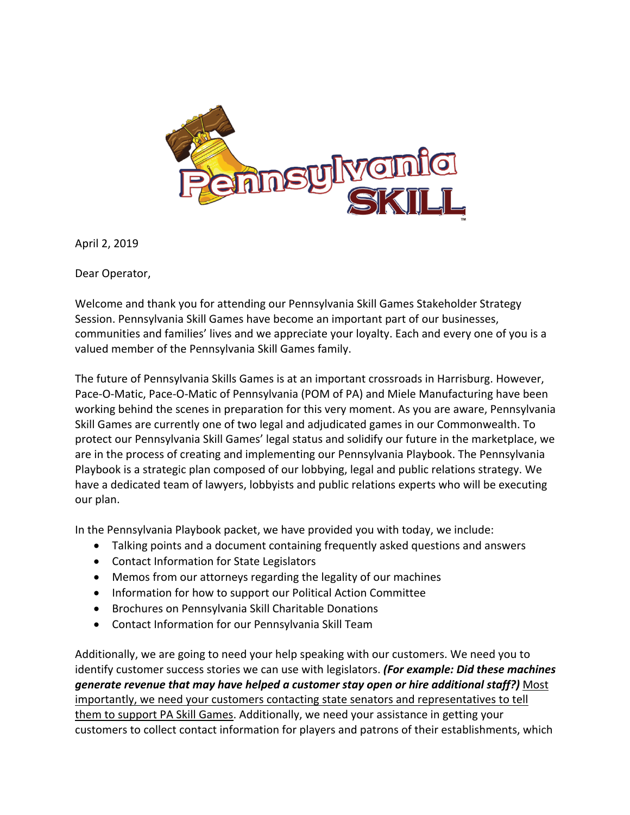

April 2, 2019

Dear Operator,

Welcome and thank you for attending our Pennsylvania Skill Games Stakeholder Strategy Session. Pennsylvania Skill Games have become an important part of our businesses, communities and families' lives and we appreciate your loyalty. Each and every one of you is a valued member of the Pennsylvania Skill Games family.

The future of Pennsylvania Skills Games is at an important crossroads in Harrisburg. However, Pace-O-Matic, Pace-O-Matic of Pennsylvania (POM of PA) and Miele Manufacturing have been working behind the scenes in preparation for this very moment. As you are aware, Pennsylvania Skill Games are currently one of two legal and adjudicated games in our Commonwealth. To protect our Pennsylvania Skill Games' legal status and solidify our future in the marketplace, we are in the process of creating and implementing our Pennsylvania Playbook. The Pennsylvania Playbook is a strategic plan composed of our lobbying, legal and public relations strategy. We have a dedicated team of lawyers, lobbyists and public relations experts who will be executing our plan.

In the Pennsylvania Playbook packet, we have provided you with today, we include:

- Talking points and a document containing frequently asked questions and answers
- Contact Information for State Legislators
- Memos from our attorneys regarding the legality of our machines
- Information for how to support our Political Action Committee
- Brochures on Pennsylvania Skill Charitable Donations
- Contact Information for our Pennsylvania Skill Team

Additionally, we are going to need your help speaking with our customers. We need you to identify customer success stories we can use with legislators. *(For example: Did these machines generate revenue that may have helped a customer stay open or hire additional staff?)* Most importantly, we need your customers contacting state senators and representatives to tell them to support PA Skill Games. Additionally, we need your assistance in getting your customers to collect contact information for players and patrons of their establishments, which